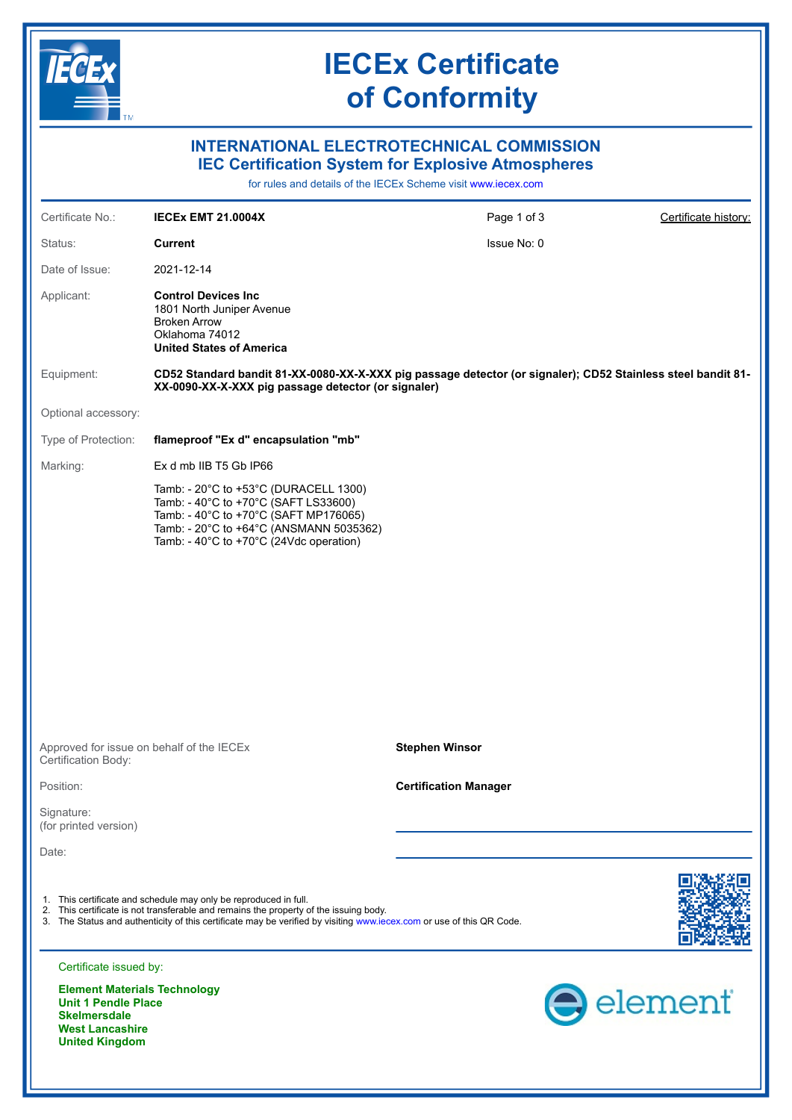

**West Lancashire United Kingdom**

## **IECEx Certificate of Conformity**

#### **INTERNATIONAL ELECTROTECHNICAL COMMISSION IEC Certification System for Explosive Atmospheres**

for rules and details of the IECEx Scheme visit [www.iecex.com](https://www.iecex.com)

| Certificate No.:                                  | <b>IECEX EMT 21.0004X</b>                                                                                                                                                                                                                                                         | Page 1 of 3                  | Certificate history: |
|---------------------------------------------------|-----------------------------------------------------------------------------------------------------------------------------------------------------------------------------------------------------------------------------------------------------------------------------------|------------------------------|----------------------|
| Status:                                           | <b>Current</b>                                                                                                                                                                                                                                                                    | Issue No: 0                  |                      |
| Date of Issue:                                    | 2021-12-14                                                                                                                                                                                                                                                                        |                              |                      |
| Applicant:                                        | <b>Control Devices Inc</b><br>1801 North Juniper Avenue<br><b>Broken Arrow</b><br>Oklahoma 74012<br><b>United States of America</b>                                                                                                                                               |                              |                      |
| Equipment:                                        | CD52 Standard bandit 81-XX-0080-XX-X-XXX pig passage detector (or signaler); CD52 Stainless steel bandit 81-<br>XX-0090-XX-X-XXX pig passage detector (or signaler)                                                                                                               |                              |                      |
| Optional accessory:                               |                                                                                                                                                                                                                                                                                   |                              |                      |
| Type of Protection:                               | flameproof "Ex d" encapsulation "mb"                                                                                                                                                                                                                                              |                              |                      |
| Marking:                                          | Ex d mb IIB T5 Gb IP66                                                                                                                                                                                                                                                            |                              |                      |
|                                                   | Tamb: - 20°C to +53°C (DURACELL 1300)<br>Tamb: - 40°C to +70°C (SAFT LS33600)<br>Tamb: - 40°C to +70°C (SAFT MP176065)<br>Tamb: - 20°C to +64°C (ANSMANN 5035362)<br>Tamb: - 40°C to +70°C (24Vdc operation)                                                                      |                              |                      |
|                                                   |                                                                                                                                                                                                                                                                                   |                              |                      |
| Certification Body:                               | Approved for issue on behalf of the IECEx                                                                                                                                                                                                                                         | <b>Stephen Winsor</b>        |                      |
| Position:                                         |                                                                                                                                                                                                                                                                                   | <b>Certification Manager</b> |                      |
| Signature:<br>(for printed version)               |                                                                                                                                                                                                                                                                                   |                              |                      |
| Date:                                             |                                                                                                                                                                                                                                                                                   |                              |                      |
|                                                   | 1. This certificate and schedule may only be reproduced in full.<br>2. This certificate is not transferable and remains the property of the issuing body.<br>3. The Status and authenticity of this certificate may be verified by visiting www.iecex.com or use of this QR Code. |                              |                      |
| Certificate issued by:                            |                                                                                                                                                                                                                                                                                   |                              |                      |
| <b>Unit 1 Pendle Place</b><br><b>Skelmersdale</b> | <b>Element Materials Technology</b>                                                                                                                                                                                                                                               |                              | element              |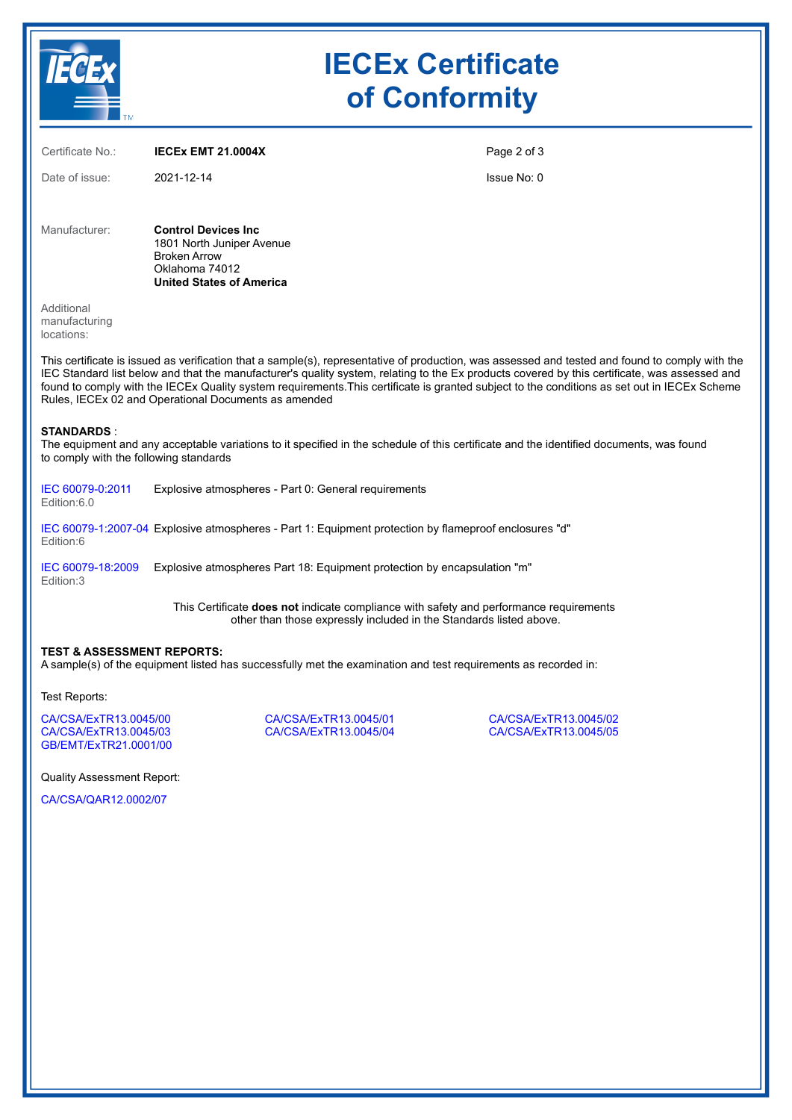|                                                                                                                                                                                                                                                                                                                                                                                                                                                                                                          | <b>IECEx Certificate</b><br>of Conformity                                                                                            |                                                                                                       |                                                |  |  |
|----------------------------------------------------------------------------------------------------------------------------------------------------------------------------------------------------------------------------------------------------------------------------------------------------------------------------------------------------------------------------------------------------------------------------------------------------------------------------------------------------------|--------------------------------------------------------------------------------------------------------------------------------------|-------------------------------------------------------------------------------------------------------|------------------------------------------------|--|--|
| Certificate No.:                                                                                                                                                                                                                                                                                                                                                                                                                                                                                         | <b>IECEX EMT 21.0004X</b>                                                                                                            | Page 2 of 3                                                                                           |                                                |  |  |
| Date of issue:                                                                                                                                                                                                                                                                                                                                                                                                                                                                                           | 2021-12-14                                                                                                                           | Issue No: 0                                                                                           |                                                |  |  |
| Manufacturer:                                                                                                                                                                                                                                                                                                                                                                                                                                                                                            | <b>Control Devices Inc.</b><br>1801 North Juniper Avenue<br><b>Broken Arrow</b><br>Oklahoma 74012<br><b>United States of America</b> |                                                                                                       |                                                |  |  |
| Additional<br>manufacturing<br>locations:                                                                                                                                                                                                                                                                                                                                                                                                                                                                |                                                                                                                                      |                                                                                                       |                                                |  |  |
| This certificate is issued as verification that a sample(s), representative of production, was assessed and tested and found to comply with the<br>IEC Standard list below and that the manufacturer's quality system, relating to the Ex products covered by this certificate, was assessed and<br>found to comply with the IECEx Quality system requirements. This certificate is granted subject to the conditions as set out in IECEx Scheme<br>Rules, IECEx 02 and Operational Documents as amended |                                                                                                                                      |                                                                                                       |                                                |  |  |
| <b>STANDARDS :</b><br>The equipment and any acceptable variations to it specified in the schedule of this certificate and the identified documents, was found<br>to comply with the following standards                                                                                                                                                                                                                                                                                                  |                                                                                                                                      |                                                                                                       |                                                |  |  |
| IEC 60079-0:2011<br>Edition:6.0                                                                                                                                                                                                                                                                                                                                                                                                                                                                          | Explosive atmospheres - Part 0: General requirements                                                                                 |                                                                                                       |                                                |  |  |
| Edition:6                                                                                                                                                                                                                                                                                                                                                                                                                                                                                                |                                                                                                                                      | IEC 60079-1:2007-04 Explosive atmospheres - Part 1: Equipment protection by flameproof enclosures "d" |                                                |  |  |
| IEC 60079-18:2009<br>Edition:3                                                                                                                                                                                                                                                                                                                                                                                                                                                                           | Explosive atmospheres Part 18: Equipment protection by encapsulation "m"                                                             |                                                                                                       |                                                |  |  |
| This Certificate does not indicate compliance with safety and performance requirements<br>other than those expressly included in the Standards listed above.                                                                                                                                                                                                                                                                                                                                             |                                                                                                                                      |                                                                                                       |                                                |  |  |
| <b>TEST &amp; ASSESSMENT REPORTS:</b><br>A sample(s) of the equipment listed has successfully met the examination and test requirements as recorded in:                                                                                                                                                                                                                                                                                                                                                  |                                                                                                                                      |                                                                                                       |                                                |  |  |
| Test Reports:                                                                                                                                                                                                                                                                                                                                                                                                                                                                                            |                                                                                                                                      |                                                                                                       |                                                |  |  |
| CA/CSA/ExTR13.0045/00<br>CA/CSA/ExTR13.0045/03<br>GB/EMT/ExTR21.0001/00                                                                                                                                                                                                                                                                                                                                                                                                                                  |                                                                                                                                      | CA/CSA/ExTR13.0045/01<br>CA/CSA/ExTR13.0045/04                                                        | CA/CSA/ExTR13.0045/02<br>CA/CSA/ExTR13.0045/05 |  |  |
| <b>Quality Assessment Report:</b>                                                                                                                                                                                                                                                                                                                                                                                                                                                                        |                                                                                                                                      |                                                                                                       |                                                |  |  |
| CA/CSA/QAR12.0002/07                                                                                                                                                                                                                                                                                                                                                                                                                                                                                     |                                                                                                                                      |                                                                                                       |                                                |  |  |
|                                                                                                                                                                                                                                                                                                                                                                                                                                                                                                          |                                                                                                                                      |                                                                                                       |                                                |  |  |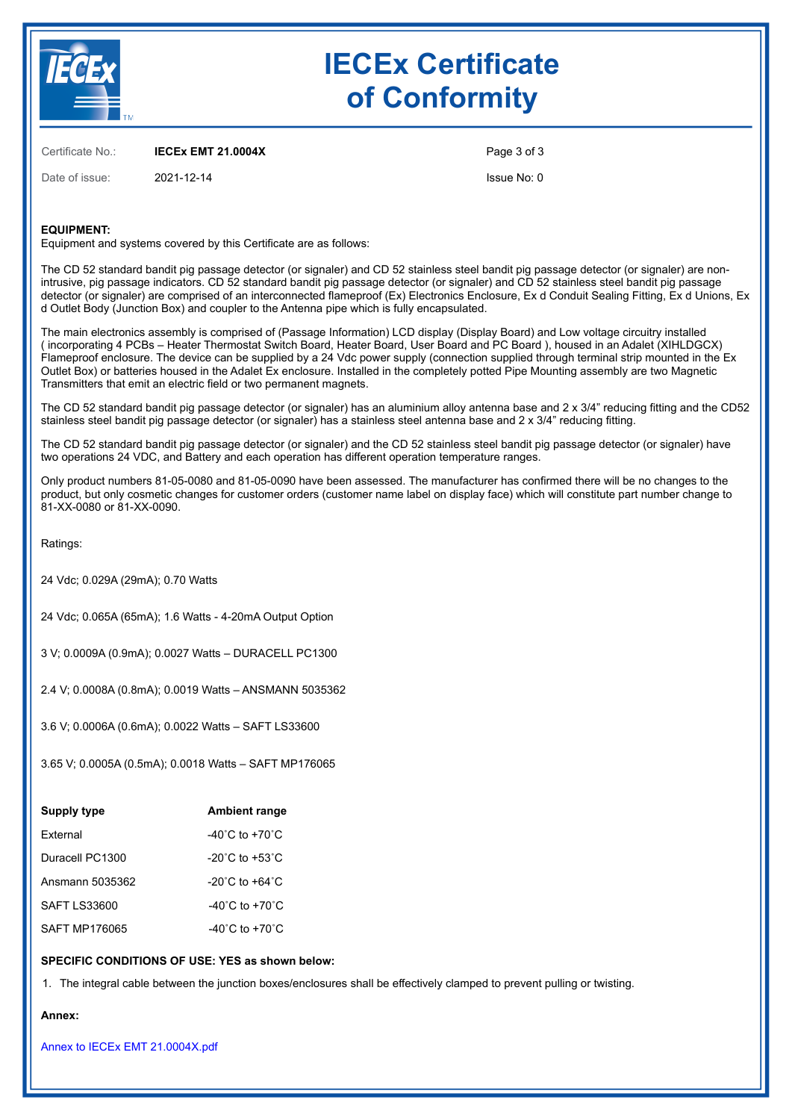

# **IECEx Certificate of Conformity**

Certificate No.: **IECEx EMT 21.0004X**

Date of issue: 2021-12-14

Page 3 of 3

Issue No: 0

#### **EQUIPMENT:**

Equipment and systems covered by this Certificate are as follows:

The CD 52 standard bandit pig passage detector (or signaler) and CD 52 stainless steel bandit pig passage detector (or signaler) are nonintrusive, pig passage indicators. CD 52 standard bandit pig passage detector (or signaler) and CD 52 stainless steel bandit pig passage detector (or signaler) are comprised of an interconnected flameproof (Ex) Electronics Enclosure, Ex d Conduit Sealing Fitting, Ex d Unions, Ex d Outlet Body (Junction Box) and coupler to the Antenna pipe which is fully encapsulated.

The main electronics assembly is comprised of (Passage Information) LCD display (Display Board) and Low voltage circuitry installed ( incorporating 4 PCBs – Heater Thermostat Switch Board, Heater Board, User Board and PC Board ), housed in an Adalet (XIHLDGCX) Flameproof enclosure. The device can be supplied by a 24 Vdc power supply (connection supplied through terminal strip mounted in the Ex Outlet Box) or batteries housed in the Adalet Ex enclosure. Installed in the completely potted Pipe Mounting assembly are two Magnetic Transmitters that emit an electric field or two permanent magnets.

The CD 52 standard bandit pig passage detector (or signaler) has an aluminium alloy antenna base and 2 x 3/4" reducing fitting and the CD52 stainless steel bandit pig passage detector (or signaler) has a stainless steel antenna base and 2 x 3/4" reducing fitting.

The CD 52 standard bandit pig passage detector (or signaler) and the CD 52 stainless steel bandit pig passage detector (or signaler) have two operations 24 VDC, and Battery and each operation has different operation temperature ranges.

Only product numbers 81-05-0080 and 81-05-0090 have been assessed. The manufacturer has confirmed there will be no changes to the product, but only cosmetic changes for customer orders (customer name label on display face) which will constitute part number change to 81-XX-0080 or 81-XX-0090.

Ratings:

24 Vdc; 0.029A (29mA); 0.70 Watts

24 Vdc; 0.065A (65mA); 1.6 Watts - 4-20mA Output Option

3 V; 0.0009A (0.9mA); 0.0027 Watts – DURACELL PC1300

2.4 V; 0.0008A (0.8mA); 0.0019 Watts – ANSMANN 5035362

3.6 V; 0.0006A (0.6mA); 0.0022 Watts – SAFT LS33600

3.65 V; 0.0005A (0.5mA); 0.0018 Watts – SAFT MP176065

| Supply type     | <b>Ambient range</b>               |  |  |
|-----------------|------------------------------------|--|--|
| <b>External</b> | $-40^{\circ}$ C to $+70^{\circ}$ C |  |  |
| Duracell PC1300 | $-20^{\circ}$ C to $+53^{\circ}$ C |  |  |
| Ansmann 5035362 | $-20^{\circ}$ C to $+64^{\circ}$ C |  |  |
| SAFT LS33600    | $-40^{\circ}$ C to $+70^{\circ}$ C |  |  |
| SAFT MP176065   | $-40^{\circ}$ C to $+70^{\circ}$ C |  |  |

#### **SPECIFIC CONDITIONS OF USE: YES as shown below:**

1. The integral cable between the junction boxes/enclosures shall be effectively clamped to prevent pulling or twisting.

**Annex:**

[Annex to IECEx EMT 21.0004X.pdf](https://www.iecex-certs.com/#/deliverables/CERT/53406/view)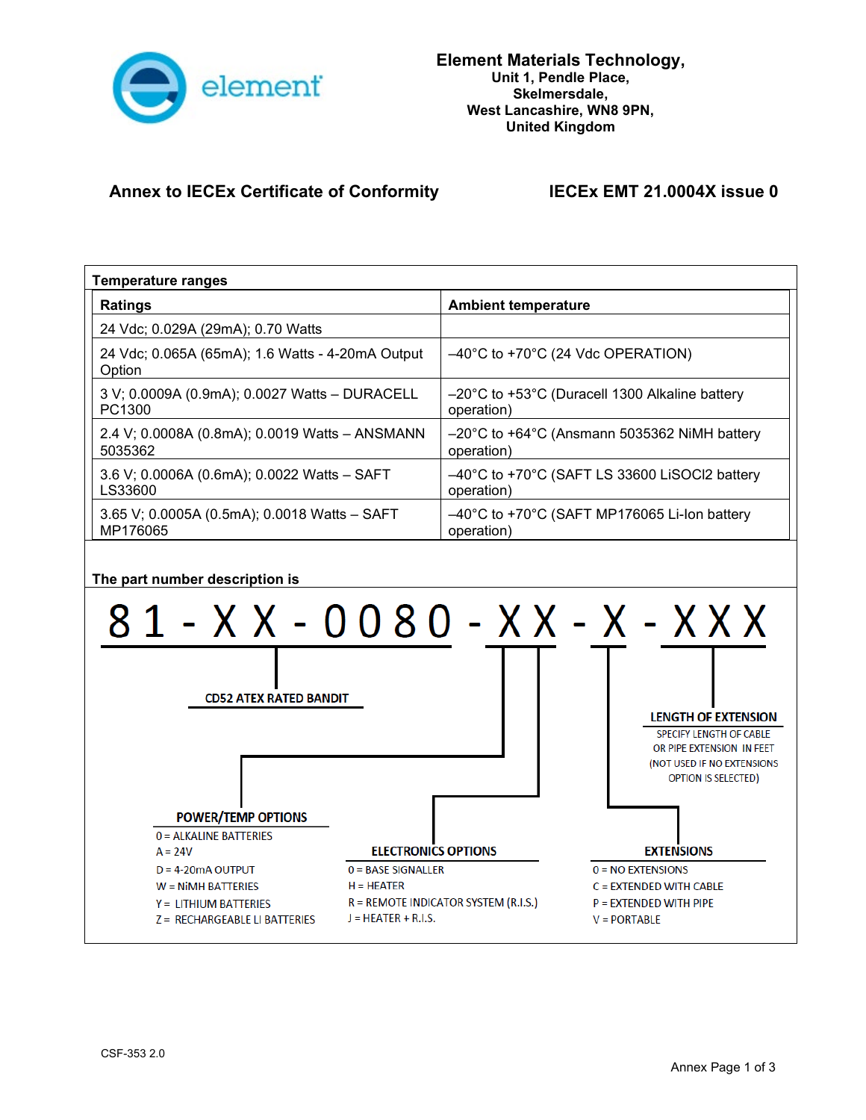

### **Annex to IECEx Certificate of Conformity IECEx EMT 21.0004X issue 0**

| <b>Temperature ranges</b>                                                                                                                                                                                                                                                                                                                                                                                                                                                                                                                                                                                                                                                                                         |                                                                                  |  |  |  |  |
|-------------------------------------------------------------------------------------------------------------------------------------------------------------------------------------------------------------------------------------------------------------------------------------------------------------------------------------------------------------------------------------------------------------------------------------------------------------------------------------------------------------------------------------------------------------------------------------------------------------------------------------------------------------------------------------------------------------------|----------------------------------------------------------------------------------|--|--|--|--|
| <b>Ratings</b>                                                                                                                                                                                                                                                                                                                                                                                                                                                                                                                                                                                                                                                                                                    | <b>Ambient temperature</b>                                                       |  |  |  |  |
| 24 Vdc; 0.029A (29mA); 0.70 Watts                                                                                                                                                                                                                                                                                                                                                                                                                                                                                                                                                                                                                                                                                 |                                                                                  |  |  |  |  |
| 24 Vdc; 0.065A (65mA); 1.6 Watts - 4-20mA Output<br>Option                                                                                                                                                                                                                                                                                                                                                                                                                                                                                                                                                                                                                                                        | $-40^{\circ}$ C to +70 $^{\circ}$ C (24 Vdc OPERATION)                           |  |  |  |  |
| 3 V; 0.0009A (0.9mA); 0.0027 Watts - DURACELL<br>PC1300                                                                                                                                                                                                                                                                                                                                                                                                                                                                                                                                                                                                                                                           | -20°C to +53°C (Duracell 1300 Alkaline battery<br>operation)                     |  |  |  |  |
| 2.4 V; 0.0008A (0.8mA); 0.0019 Watts - ANSMANN<br>5035362                                                                                                                                                                                                                                                                                                                                                                                                                                                                                                                                                                                                                                                         | -20°C to +64°C (Ansmann 5035362 NiMH battery<br>operation)                       |  |  |  |  |
| 3.6 V; 0.0006A (0.6mA); 0.0022 Watts - SAFT<br>LS33600                                                                                                                                                                                                                                                                                                                                                                                                                                                                                                                                                                                                                                                            | $-40^{\circ}$ C to +70 $^{\circ}$ C (SAFT LS 33600 LiSOCI2 battery<br>operation) |  |  |  |  |
| 3.65 V; 0.0005A (0.5mA); 0.0018 Watts - SAFT<br>MP176065                                                                                                                                                                                                                                                                                                                                                                                                                                                                                                                                                                                                                                                          | -40°C to +70°C (SAFT MP176065 Li-lon battery<br>operation)                       |  |  |  |  |
| The part number description is<br>81 - X X - 0080 - X X - X - X X X<br><b>CD52 ATEX RATED BANDIT</b><br><b>LENGTH OF EXTENSION</b><br>SPECIFY LENGTH OF CABLE<br>OR PIPE EXTENSION IN FEET<br>(NOT USED IF NO EXTENSIONS<br><b>OPTION IS SELECTED)</b><br><b>POWER/TEMP OPTIONS</b><br>0 = ALKALINE BATTERIES<br><b>ELECTRONICS OPTIONS</b><br><b>EXTENSIONS</b><br>$A = 24V$<br>$D = 4 - 20$ m A OUTPUT<br>$0 = BASE SIGNALLER$<br>$0 = NO$ EXTENSIONS<br>$H = HEATER$<br>$W = N$ <b>Nimel BATTERIES</b><br>C = EXTENDED WITH CABLE<br>$R =$ REMOTE INDICATOR SYSTEM (R.I.S.)<br>$P = EXTENDED WITH PIPE$<br>$Y = LITHIUM BATTERIES$<br>$J = HEATER + R.I.S.$<br>Z = RECHARGEABLE LI BATTERIES<br>$V = PORTABLE$ |                                                                                  |  |  |  |  |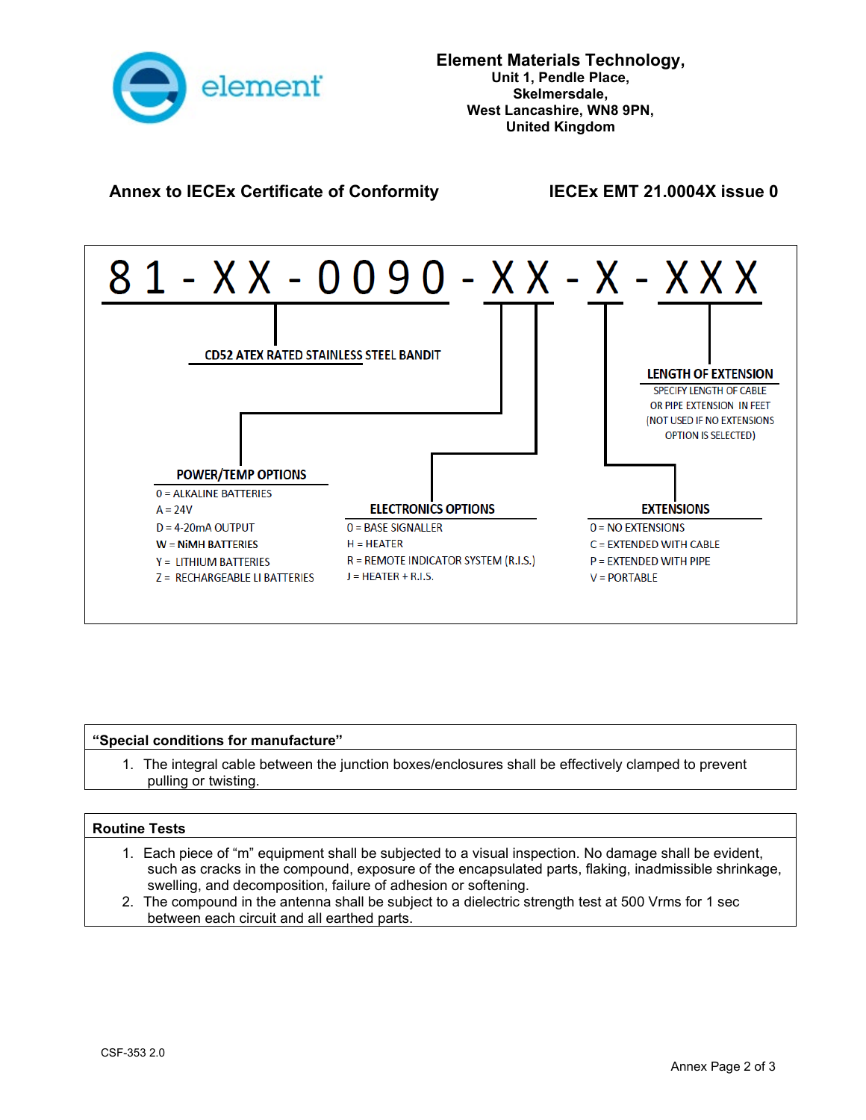

#### **Annex to IECEx Certificate of Conformity IECEx EMT 21.0004X issue 0**



#### **"Special conditions for manufacture"**

1. The integral cable between the junction boxes/enclosures shall be effectively clamped to prevent pulling or twisting.

#### **Routine Tests**

- 1. Each piece of "m" equipment shall be subjected to a visual inspection. No damage shall be evident, such as cracks in the compound, exposure of the encapsulated parts, flaking, inadmissible shrinkage, swelling, and decomposition, failure of adhesion or softening.
- 2. The compound in the antenna shall be subject to a dielectric strength test at 500 Vrms for 1 sec between each circuit and all earthed parts.